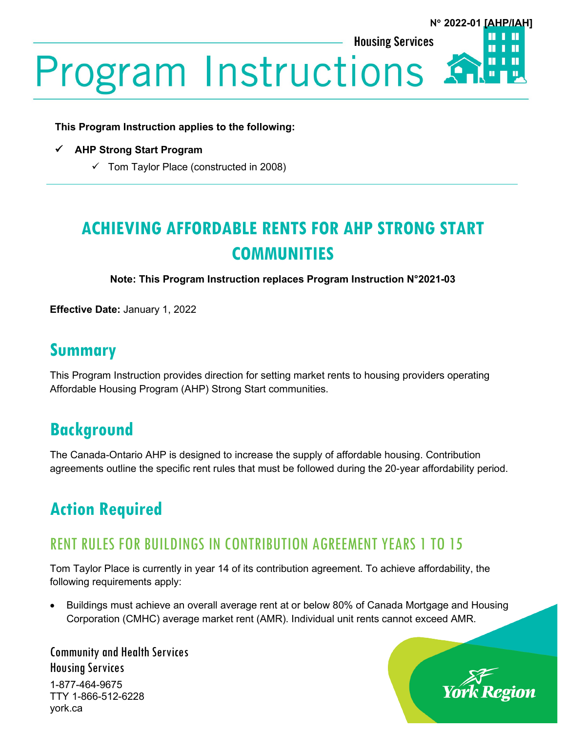**Housing Services** 



# **Program Instructions:**

**This Program Instruction applies to the following:**

- **AHP Strong Start Program**
	- $\checkmark$  Tom Taylor Place (constructed in 2008)

# **ACHIEVING AFFORDABLE RENTS FOR AHP STRONG START COMMUNITIES**

**Note: This Program Instruction replaces Program Instruction N°2021-03**

**Effective Date:** January 1, 2022

## **Summary**

This Program Instruction provides direction for setting market rents to housing providers operating Affordable Housing Program (AHP) Strong Start communities.

## **Background**

The Canada-Ontario AHP is designed to increase the supply of affordable housing. Contribution agreements outline the specific rent rules that must be followed during the 20-year affordability period.

## **Action Required**

### RENT RULES FOR BUILDINGS IN CONTRIBUTION AGREEMENT YEARS 1 TO 15

Tom Taylor Place is currently in year 14 of its contribution agreement. To achieve affordability, the following requirements apply:

• Buildings must achieve an overall average rent at or below 80% of Canada Mortgage and Housing Corporation (CMHC) average market rent (AMR). Individual unit rents cannot exceed AMR.

Community and Health Services Housing Services 1-877-464-9675 TTY 1-866-512-6228 york.ca

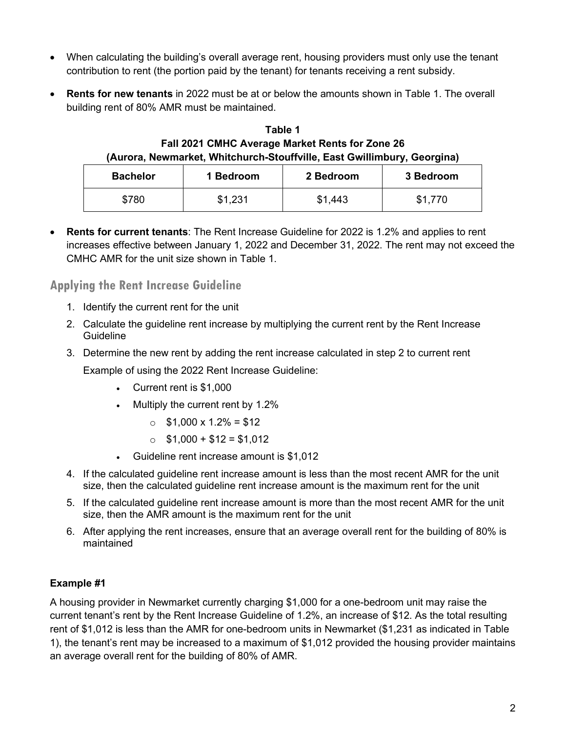- When calculating the building's overall average rent, housing providers must only use the tenant contribution to rent (the portion paid by the tenant) for tenants receiving a rent subsidy.
- **Rents for new tenants** in 2022 must be at or below the amounts shown in Table 1. The overall building rent of 80% AMR must be maintained.

**Table 1 Fall 2021 CMHC Average Market Rents for Zone 26 (Aurora, Newmarket, Whitchurch-Stouffville, East Gwillimbury, Georgina)**

| <b>Bachelor</b> | 1 Bedroom | 2 Bedroom | 3 Bedroom |
|-----------------|-----------|-----------|-----------|
| \$780           | \$1,231   | \$1,443   | .770      |

• **Rents for current tenants**: The Rent Increase Guideline for 2022 is 1.2% and applies to rent increases effective between January 1, 2022 and December 31, 2022. The rent may not exceed the CMHC AMR for the unit size shown in Table 1.

#### **Applying the Rent Increase Guideline**

- 1. Identify the current rent for the unit
- 2. Calculate the guideline rent increase by multiplying the current rent by the Rent Increase **Guideline**
- 3. Determine the new rent by adding the rent increase calculated in step 2 to current rent Example of using the 2022 Rent Increase Guideline:
	- Current rent is \$1,000
	- Multiply the current rent by 1.2%
		- $\circ$  \$1,000 x 1.2% = \$12
		- $\circ$  \$1,000 + \$12 = \$1,012
	- Guideline rent increase amount is \$1,012
- 4. If the calculated guideline rent increase amount is less than the most recent AMR for the unit size, then the calculated guideline rent increase amount is the maximum rent for the unit
- 5. If the calculated guideline rent increase amount is more than the most recent AMR for the unit size, then the AMR amount is the maximum rent for the unit
- 6. After applying the rent increases, ensure that an average overall rent for the building of 80% is maintained

#### **Example #1**

A housing provider in Newmarket currently charging \$1,000 for a one-bedroom unit may raise the current tenant's rent by the Rent Increase Guideline of 1.2%, an increase of \$12. As the total resulting rent of \$1,012 is less than the AMR for one-bedroom units in Newmarket (\$1,231 as indicated in Table 1), the tenant's rent may be increased to a maximum of \$1,012 provided the housing provider maintains an average overall rent for the building of 80% of AMR.